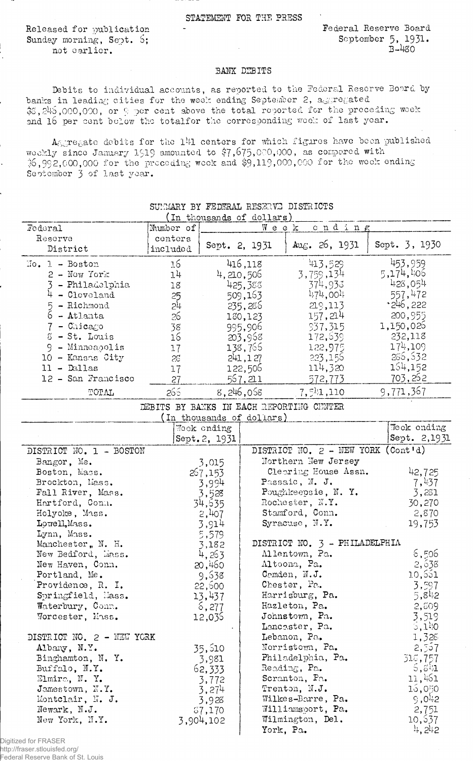STATEMENT FOR THE PRESS

Released for publication Sunday morning, Sept. 6; not earlier.

Federal Reserve Board September 5, 1931.  $B-480$ 

## BANK DEBITS

Debits to individual accounts, as reported to the Federal Reserve Board by banks in leading cities for the week ending September 2, aggregated \$5,245,000,000, or 9 per cent above the total reported for the preceding week and 16 per cent below the total for the corresponding week of last year.

Aggregate debits for the 141 centers for which figures have been published weekly since January 1919 amounted to \$7,675,000,000, as compared with 36,992,000,000 for the proceding wook and \$9,119,000,000 for the week ending September 3 of last year.

| In thousands of dollars)         |           |                |                           |                                          |               |  |  |
|----------------------------------|-----------|----------------|---------------------------|------------------------------------------|---------------|--|--|
| Federal                          | Number of | cnding<br>Week |                           |                                          |               |  |  |
| Reserve                          | centers   |                |                           |                                          |               |  |  |
| District                         | included  | Sept. 2, 1931  |                           | Aug. $26, 1931$                          | Sept. 3, 1930 |  |  |
|                                  |           |                |                           |                                          |               |  |  |
| $\text{No. } 1 - \text{ Boston}$ | 16        |                | 416,118                   | 413,529                                  | 453,959       |  |  |
| $2 - Now York$                   | 14        |                | 4,210,505                 | 3,759,134                                | 5,174,406     |  |  |
| 3 - Philadelphia                 | 18        |                | 425,388                   | 374,933                                  | 428,054       |  |  |
| $4 - C_{1c}$ veland              | 25        |                | 509,163                   | 1.71,001                                 | 557,472       |  |  |
| 5 - Richmond                     | بأح       |                | 235,286                   | 219,113                                  | 246,222       |  |  |
| $6 -$ Atlanta                    | 26        |                | 130,123                   | 157,214                                  | 200,955       |  |  |
| 7 - Chicago                      | 38        |                | 995,906                   | 937,315                                  | 1,150,026     |  |  |
| 8 - St. Louis                    | 16        |                |                           |                                          | 232,118       |  |  |
|                                  |           |                | 203,968                   | 172,639                                  |               |  |  |
| 9 - Minneapolis                  | 17        |                | 138,766                   | 122,975                                  | 174,109       |  |  |
| 10 - Kansas City                 | 28        |                | 241, 127                  | 223,156                                  | 286,532       |  |  |
| $11 -$ Dallas                    | 17        |                | 122,506                   | 114,320                                  | 154,152       |  |  |
| 12 - San Francisco               | 27        |                | 567,211                   | 572,773                                  | 703,262       |  |  |
| TOTAL                            | 266       |                | 8,246,058                 | 7,541,110                                | 9,771,367     |  |  |
|                                  |           |                |                           |                                          |               |  |  |
|                                  |           |                |                           | DEBITS BY BANKS IN EACH REPORTING CUNTER |               |  |  |
|                                  |           |                | (In thousands of dollars) |                                          |               |  |  |
|                                  |           | Wook ending    |                           |                                          | Weck ending   |  |  |
|                                  |           | Sept. 2, 1931  |                           |                                          | Sept. 2,1931  |  |  |
| DISTRICT NO. 1 - BOSTON          |           |                |                           | DISTRICT NO. 2 - NEW YORK                | (Cont d)      |  |  |
| Bangor, Me.                      |           | 3,015          |                           | Northern New Jersey                      |               |  |  |
| Boston, Mass.                    |           | 267,153        |                           | Clearing House Assn.                     | 42,725        |  |  |
| Brockton, Mass.                  | 3,994     |                |                           | Passaic, N. J.                           | 7,437         |  |  |
| Fall River, Mass.                |           | 3,528          |                           | Poughkeepsie, N.Y.                       | 3,281         |  |  |
| Hartford, Conn.                  |           | 34,535         |                           | Rochester, N.Y.                          | 30,270        |  |  |
| Holyoke, Mass.                   | 2,407     |                |                           | Stamford, Conn.                          | 2,870         |  |  |
| Lowell, Mass.                    | 3,914     |                |                           | Syracuse, N.Y.                           | 19,753        |  |  |
| Lynn, Mass.                      |           |                |                           |                                          |               |  |  |
| Manchester, N. H.                |           | 5,579          |                           | DISTRICT NO. $3$ - PHILADELPHIA          |               |  |  |
|                                  |           | 3,182          |                           | Allentown, Pa.                           | 6,506         |  |  |
| New Bedford, Mass.               |           | 4,263          |                           |                                          |               |  |  |
| New Haven, Conn.                 |           | 20,460         |                           | Altoona, Pa.                             | 2,638         |  |  |
| Portland, Me.                    |           | 9,638          |                           | Comden, N.J.                             | 10,551        |  |  |
| Providence, R. I.                |           | 22,500         |                           | Chester, Pa.                             | 3,597         |  |  |
| Springfield, Mass.               |           | 13,437         |                           | Harrisburg, Pa.                          | 5,842         |  |  |
| Waterbury, Conn.                 |           | 6,277          |                           | Hazleton, Pa.                            | 2,509         |  |  |
| Worcester, Mass.                 |           | 12,035         |                           | Johnstown, Pa.                           | 3,519         |  |  |
|                                  |           |                |                           | Lancester, Pa.                           | 5,140         |  |  |
| DISTRICT NO. 2 - NEW YORK        |           |                |                           | Lebanon, Pa.                             | 1,328         |  |  |
| Albany, N.Y.                     |           | 35,510         |                           | Norristown, Pa.                          | 2,357         |  |  |
| Binghamton, N.Y.                 |           |                |                           | Philadelphia, Pa.                        |               |  |  |
|                                  |           | 3,981          |                           | Reading, Pa.                             | 318,757       |  |  |
| Buffalo, N.Y.                    |           | 62,333         |                           |                                          | 5, $5^{11}$   |  |  |
| Elmira, N.Y.                     |           | 3,772          |                           | Scranton, Pa.                            | 11,461        |  |  |
| Jamestown, N.Y.                  |           | 3,274          |                           | Trenton, N.J.                            | 15,050        |  |  |
| Montclair, N. J.                 |           | 3,928          |                           | Wilkes-Barre, Pa.                        | 9,042         |  |  |
| Newark, N.J.                     |           | 37,170         |                           | Williamsport, Pa.                        | 2,751         |  |  |
| New York, N.Y.                   |           | 3,904,102      |                           | Wilmington, Del.                         | 10,637        |  |  |
|                                  |           |                |                           | York, Pa.                                | 4, 242        |  |  |

SUMMARY BY FEDERAL RESERVE DISTRICTS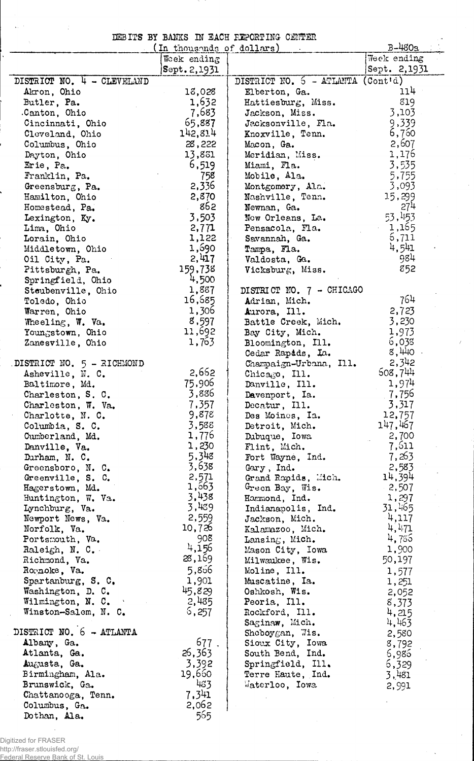## DEBITS BY BANKS IN EACH REPORTING CENTER

| (In thousands of dollars)  | $B-480a$        |                                     |                |
|----------------------------|-----------------|-------------------------------------|----------------|
|                            | Week ending     |                                     | Week ending    |
|                            | Sept.2,1931     |                                     | Sept. 2,1931   |
| DISTRICT NO. 4 - CLEVELAND |                 | DISTRICT NO. $5$ - ATLANTA (Contid) |                |
| Akron, Ohio                | 18,028          | Elberton, Ga.                       | 114 -          |
| Butler, Pa.                | 1,632           | Hattiesburg, Miss.                  | 819            |
| Canton, Ohio               | 7,683           | Jackson, Miss.                      | 3,103          |
| Cincinnati, Ohio           | 65,887          | Jacksonville, Fla.                  | 9,339          |
| Cleveland, Ohio            | 142,814         | Knoxville, Tenn.                    | 6,750          |
| Columbus, Ohio             | 28,222          | Macon, Ga.                          | 2,607          |
| Dayton, Ohio               | 13,831          | Meridian, Miss.                     | 1,176          |
| Erie, Pa.                  | 6,519           | Miami, Fla.                         | 3,535          |
| Franklin, Pa.              | 758             | Mobile, Ala.                        | 5,755          |
| Greensburg, Pa.            | 2,336           | Montgomery, Ala.                    | 3,093          |
| Hamilton, Ohio             | 2,870           | Nashville, Tenn.                    | 15,299         |
|                            | 862             |                                     | 274            |
| Homestead, Pa.             | 3,503           | Newnan, Ga.                         | 53,453         |
| Lexington, Ky.             |                 | New Orleans, La.                    |                |
| Lima, Ohio                 | 2,771           | Pensacola, Fla.                     | 1,165<br>5,711 |
| Lorain, Ohio               | 1,122           | Savannah, Ga.                       | 4,541          |
| Middletown, Ohio           | 1,690           | Tampa, Fla.                         |                |
| Oil City, Pa.              | 2,417           | Valdosta, Ga.                       | 984            |
| Pittsburgh, Pa.            | 159,738         | Vicksburg, Miss.                    | 852            |
| Springfield, Ohio          | 4,500           |                                     |                |
| Steubenville, Ohio         | 1,887           | DISTRICT NO. 7 - CHICAGO            |                |
| Toledo, Ohio               | 16,685          | Adrian, Mich.                       | 764            |
| Warren, Ohio               | 1,306           | Aurora, Ill.                        | 2,723          |
| Wheeling, W. Va.           | 8,597           | Battle Creek, Mich.                 | 3,230          |
| Youngstown, Ohio           | 11,692          | Bay City, Mich.                     | 1,973          |
| Zanesville, Ohio           | 1,763           | Bloomington, Ill.                   | 6,038          |
|                            |                 | Cedar Rapids, La.                   | 8,440          |
| DISTRICT NO. 5 - RICHMOND  |                 | Champaign-Urbana, Ill.              | 2,342          |
| Asheville, N. C.           | 2,662           | Chicago, Ill.                       | 508,744        |
| Baltimore, Md.             | 75,906          | Danville, Ill.                      | 1,974          |
| Charleston, S. C.          | 3,886           | Davenport, Ia.                      | 7,756          |
| Charleston, W. Va.         | 7,357           | Decatur, Ill.                       | 3,317          |
| Charlotte, N. C.           | 9,878           | Des Moines, Ia.                     | 12,757         |
| Columbia, S. C.            | 3,588           | Detroit, Mich.                      | 147,467        |
| Cumberland, Md.            | 1,776           | Dubuque, Iowa                       | 2,700          |
| Danville, Va.              | 1,230           | Flint, Mich.                        | 7,611          |
| Durham, N. C.              | 5,348           | Fort Wayne, Ind.                    | 7,263          |
| Greensboro, N. C.          | 3,638           | Gary, Ind.                          | 2,583          |
|                            | 2,571           | Grand Rapids, Mich.                 | 14,394         |
| Greenville, S. C.          | 1,563           |                                     | 2,507          |
| Hagerstown, Md.            | 3,438           | Green Bay, Wis.                     | 1,297          |
| Huntington, W. Va.         | 3,439           | Hammond, Ind.                       | 31,465         |
| Lynchburg, Va.             |                 | Indianapolis, Ind.                  | $-4,117$       |
| Newport News, Va.          | 2,559<br>10,726 | Jackson, Mich.                      | 4,471          |
| Norfolk, Va.               | 908             | Kalamazoo, Mich.                    |                |
| Portsmouth, Va.            | 4,156           | Lansing, <i>Mich.</i>               | 4,785          |
| Raleigh, N. C.             |                 | Mason City, Iowa                    | 1,900          |
| Richmond, Va.              | 28,169          | Milwaukee, Wis.                     | 50,197         |
| Rornoke, Va.               | 5,856           | Moline, Ill.                        | 1,577          |
| Spartanburg, S. C.         | 1,901           | Muscatine, Ia.                      | 1,251          |
| Washington, D. C.          | 45,829          | Oshkosh, Wis.                       | 2,052          |
| Wilmington, N. C.          | 2,485           | Peoria, Ill.                        | 8,373          |
| Winston-Salem, N. C.       | 6,257           | Rockford, Ill.                      | 4,215          |
|                            |                 | Saginaw, Mich.                      | 4,463          |
| DISTRICT NO. 6 - ATLANTA   |                 | Sheboygan, Wis.                     | 2,580          |
| Albany, Ga.                | 677.            | Sioux City, Iowa                    | 8,792          |
| Atlanta, Ga.               | 26,363          | South Bend, Ind.                    | 5,985          |
| Augusta, Ga.               | 3,392           | Springfield, Ill.                   | 6,329          |
| Birmingham, Ala.           | 19,660          | Terre Haute, Ind.                   | 3,481          |
| Brunswick, Ga.             | 483             | Waterloo, Iowa                      | 2,991          |
| Chattanooga, Tenn.         | 7,341           |                                     |                |
| Columbus, Ga.              | 2,062           |                                     |                |
| Dothan, Ala.               | 565             |                                     |                |

 $\lambda$ 

 $\bar{z}$ 

 $\ddot{\phantom{a}}$ 

Digitized for FRASER http://fraser.stlouisfed.org/

Federal Reserve Bank of St. Louis

 $\overline{\phantom{a}}$